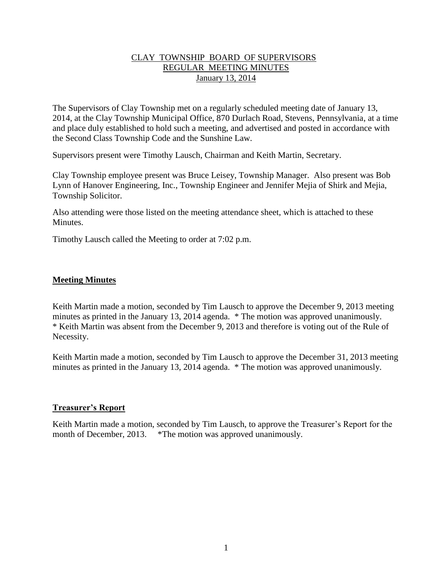## CLAY TOWNSHIP BOARD OF SUPERVISORS REGULAR MEETING MINUTES January 13, 2014

The Supervisors of Clay Township met on a regularly scheduled meeting date of January 13, 2014, at the Clay Township Municipal Office, 870 Durlach Road, Stevens, Pennsylvania, at a time and place duly established to hold such a meeting, and advertised and posted in accordance with the Second Class Township Code and the Sunshine Law.

Supervisors present were Timothy Lausch, Chairman and Keith Martin, Secretary.

Clay Township employee present was Bruce Leisey, Township Manager. Also present was Bob Lynn of Hanover Engineering, Inc., Township Engineer and Jennifer Mejia of Shirk and Mejia, Township Solicitor.

Also attending were those listed on the meeting attendance sheet, which is attached to these Minutes.

Timothy Lausch called the Meeting to order at 7:02 p.m.

### **Meeting Minutes**

Keith Martin made a motion, seconded by Tim Lausch to approve the December 9, 2013 meeting minutes as printed in the January 13, 2014 agenda. \* The motion was approved unanimously. \* Keith Martin was absent from the December 9, 2013 and therefore is voting out of the Rule of Necessity.

Keith Martin made a motion, seconded by Tim Lausch to approve the December 31, 2013 meeting minutes as printed in the January 13, 2014 agenda. \* The motion was approved unanimously.

### **Treasurer's Report**

Keith Martin made a motion, seconded by Tim Lausch, to approve the Treasurer's Report for the month of December, 2013. \*The motion was approved unanimously.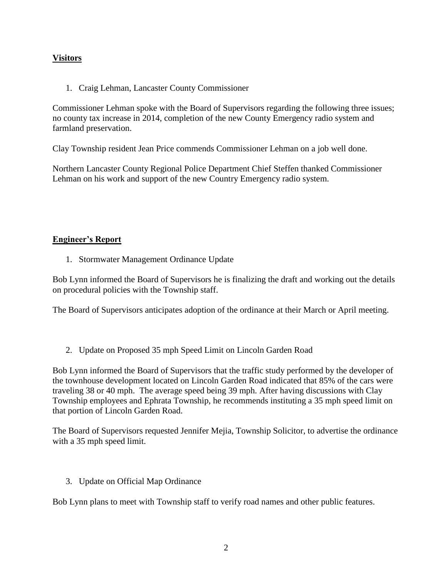# **Visitors**

1. Craig Lehman, Lancaster County Commissioner

Commissioner Lehman spoke with the Board of Supervisors regarding the following three issues; no county tax increase in 2014, completion of the new County Emergency radio system and farmland preservation.

Clay Township resident Jean Price commends Commissioner Lehman on a job well done.

Northern Lancaster County Regional Police Department Chief Steffen thanked Commissioner Lehman on his work and support of the new Country Emergency radio system.

## **Engineer's Report**

1. Stormwater Management Ordinance Update

Bob Lynn informed the Board of Supervisors he is finalizing the draft and working out the details on procedural policies with the Township staff.

The Board of Supervisors anticipates adoption of the ordinance at their March or April meeting.

2. Update on Proposed 35 mph Speed Limit on Lincoln Garden Road

Bob Lynn informed the Board of Supervisors that the traffic study performed by the developer of the townhouse development located on Lincoln Garden Road indicated that 85% of the cars were traveling 38 or 40 mph. The average speed being 39 mph. After having discussions with Clay Township employees and Ephrata Township, he recommends instituting a 35 mph speed limit on that portion of Lincoln Garden Road.

The Board of Supervisors requested Jennifer Mejia, Township Solicitor, to advertise the ordinance with a 35 mph speed limit.

3. Update on Official Map Ordinance

Bob Lynn plans to meet with Township staff to verify road names and other public features.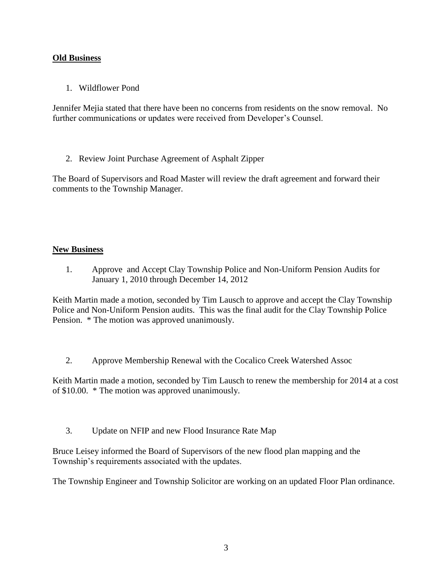## **Old Business**

1. Wildflower Pond

Jennifer Mejia stated that there have been no concerns from residents on the snow removal. No further communications or updates were received from Developer's Counsel.

2. Review Joint Purchase Agreement of Asphalt Zipper

The Board of Supervisors and Road Master will review the draft agreement and forward their comments to the Township Manager.

## **New Business**

1. Approve and Accept Clay Township Police and Non-Uniform Pension Audits for January 1, 2010 through December 14, 2012

Keith Martin made a motion, seconded by Tim Lausch to approve and accept the Clay Township Police and Non-Uniform Pension audits. This was the final audit for the Clay Township Police Pension. \* The motion was approved unanimously.

2. Approve Membership Renewal with the Cocalico Creek Watershed Assoc

Keith Martin made a motion, seconded by Tim Lausch to renew the membership for 2014 at a cost of \$10.00. \* The motion was approved unanimously.

3. Update on NFIP and new Flood Insurance Rate Map

Bruce Leisey informed the Board of Supervisors of the new flood plan mapping and the Township's requirements associated with the updates.

The Township Engineer and Township Solicitor are working on an updated Floor Plan ordinance.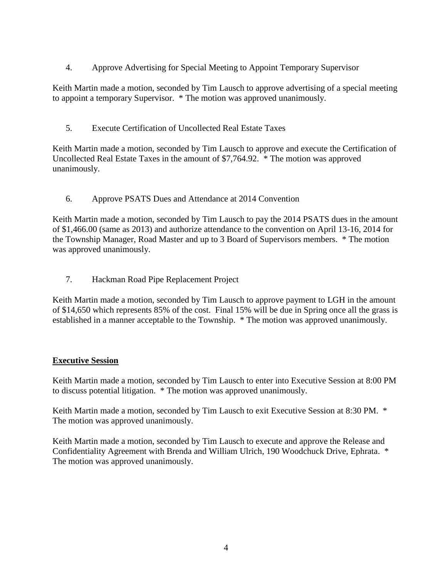4. Approve Advertising for Special Meeting to Appoint Temporary Supervisor

Keith Martin made a motion, seconded by Tim Lausch to approve advertising of a special meeting to appoint a temporary Supervisor. \* The motion was approved unanimously.

5. Execute Certification of Uncollected Real Estate Taxes

Keith Martin made a motion, seconded by Tim Lausch to approve and execute the Certification of Uncollected Real Estate Taxes in the amount of \$7,764.92. \* The motion was approved unanimously.

6. Approve PSATS Dues and Attendance at 2014 Convention

Keith Martin made a motion, seconded by Tim Lausch to pay the 2014 PSATS dues in the amount of \$1,466.00 (same as 2013) and authorize attendance to the convention on April 13-16, 2014 for the Township Manager, Road Master and up to 3 Board of Supervisors members. \* The motion was approved unanimously.

7. Hackman Road Pipe Replacement Project

Keith Martin made a motion, seconded by Tim Lausch to approve payment to LGH in the amount of \$14,650 which represents 85% of the cost. Final 15% will be due in Spring once all the grass is established in a manner acceptable to the Township. \* The motion was approved unanimously.

### **Executive Session**

Keith Martin made a motion, seconded by Tim Lausch to enter into Executive Session at 8:00 PM to discuss potential litigation. \* The motion was approved unanimously.

Keith Martin made a motion, seconded by Tim Lausch to exit Executive Session at 8:30 PM. \* The motion was approved unanimously.

Keith Martin made a motion, seconded by Tim Lausch to execute and approve the Release and Confidentiality Agreement with Brenda and William Ulrich, 190 Woodchuck Drive, Ephrata. \* The motion was approved unanimously.